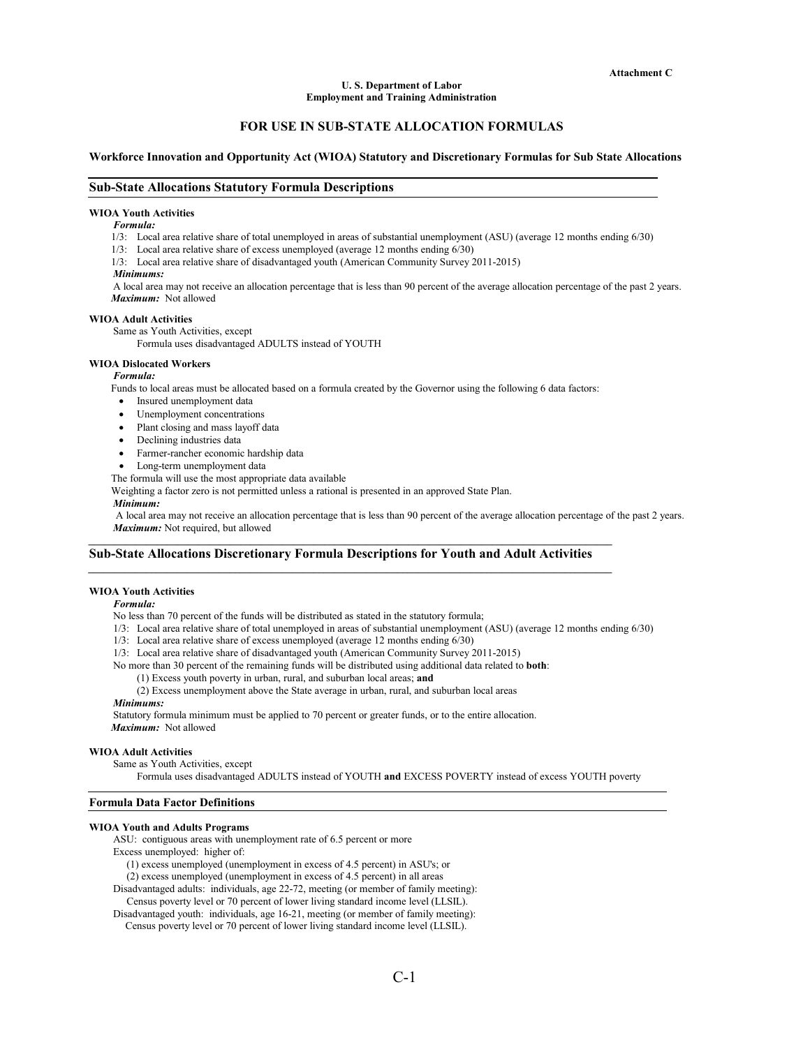# **U. S. Department of Labor Employment and Training Administration**

# **FOR USE IN SUB-STATE ALLOCATION FORMULAS**

# **Workforce Innovation and Opportunity Act (WIOA) Statutory and Discretionary Formulas for Sub State Allocations**

# **Sub-State Allocations Statutory Formula Descriptions**

### **WIOA Youth Activities**

#### *Formula:*

1/3: Local area relative share of total unemployed in areas of substantial unemployment (ASU) (average 12 months ending 6/30)

- 1/3: Local area relative share of excess unemployed (average 12 months ending 6/30)
- 1/3: Local area relative share of disadvantaged youth (American Community Survey 2011-2015)
- *Minimums:*

A local area may not receive an allocation percentage that is less than 90 percent of the average allocation percentage of the past 2 years. *Maximum:* Not allowed

# **WIOA Adult Activities**

Same as Youth Activities, except

Formula uses disadvantaged ADULTS instead of YOUTH

# **WIOA Dislocated Workers**

*Formula:*

Funds to local areas must be allocated based on a formula created by the Governor using the following 6 data factors:

- Insured unemployment data
- Unemployment concentrations
- Plant closing and mass layoff data
- Declining industries data
- Farmer-rancher economic hardship data
- Long-term unemployment data

The formula will use the most appropriate data available

Weighting a factor zero is not permitted unless a rational is presented in an approved State Plan.

# *Minimum:*

A local area may not receive an allocation percentage that is less than 90 percent of the average allocation percentage of the past 2 years. *Maximum:* Not required, but allowed

# **Sub-State Allocations Discretionary Formula Descriptions for Youth and Adult Activities**

*\_\_\_\_\_\_\_\_\_\_\_\_\_\_\_\_\_\_\_\_\_\_\_\_\_\_\_\_\_\_\_\_\_\_\_\_\_\_\_\_\_\_\_\_\_\_\_\_\_\_\_\_\_\_\_\_\_\_\_\_\_\_\_\_\_\_\_\_\_\_\_\_\_\_\_\_\_\_\_\_\_\_\_\_\_\_\_\_\_\_\_\_\_\_\_\_\_\_\_\_* 

*\_\_\_\_\_\_\_\_\_\_\_\_\_\_\_\_\_\_\_\_\_\_\_\_\_\_\_\_\_\_\_\_\_\_\_\_\_\_\_\_\_\_\_\_\_\_\_\_\_\_\_\_\_\_\_\_\_\_\_\_\_\_\_\_\_\_\_\_\_\_\_\_\_\_\_\_\_\_\_\_\_\_\_\_\_\_\_\_\_\_\_\_\_\_\_\_\_\_\_\_* 

# **WIOA Youth Activities**

#### *Formula:*

No less than 70 percent of the funds will be distributed as stated in the statutory formula;

- 1/3: Local area relative share of total unemployed in areas of substantial unemployment (ASU) (average 12 months ending 6/30)
- 1/3: Local area relative share of excess unemployed (average 12 months ending 6/30)
- 1/3: Local area relative share of disadvantaged youth (American Community Survey 2011-2015)

No more than 30 percent of the remaining funds will be distributed using additional data related to **both**:

- (1) Excess youth poverty in urban, rural, and suburban local areas; **and**
- (2) Excess unemployment above the State average in urban, rural, and suburban local areas

### *Minimums:*

Statutory formula minimum must be applied to 70 percent or greater funds, or to the entire allocation. *Maximum:* Not allowed

### **WIOA Adult Activities**

Same as Youth Activities, except

Formula uses disadvantaged ADULTS instead of YOUTH **and** EXCESS POVERTY instead of excess YOUTH poverty

#### **Formula Data Factor Definitions**

# **WIOA Youth and Adults Programs**

ASU: contiguous areas with unemployment rate of 6.5 percent or more

Excess unemployed: higher of:

(1) excess unemployed (unemployment in excess of 4.5 percent) in ASU's; or

(2) excess unemployed (unemployment in excess of 4.5 percent) in all areas

- Disadvantaged adults: individuals, age 22-72, meeting (or member of family meeting):
- Census poverty level or 70 percent of lower living standard income level (LLSIL).

Disadvantaged youth: individuals, age 16-21, meeting (or member of family meeting): Census poverty level or 70 percent of lower living standard income level (LLSIL).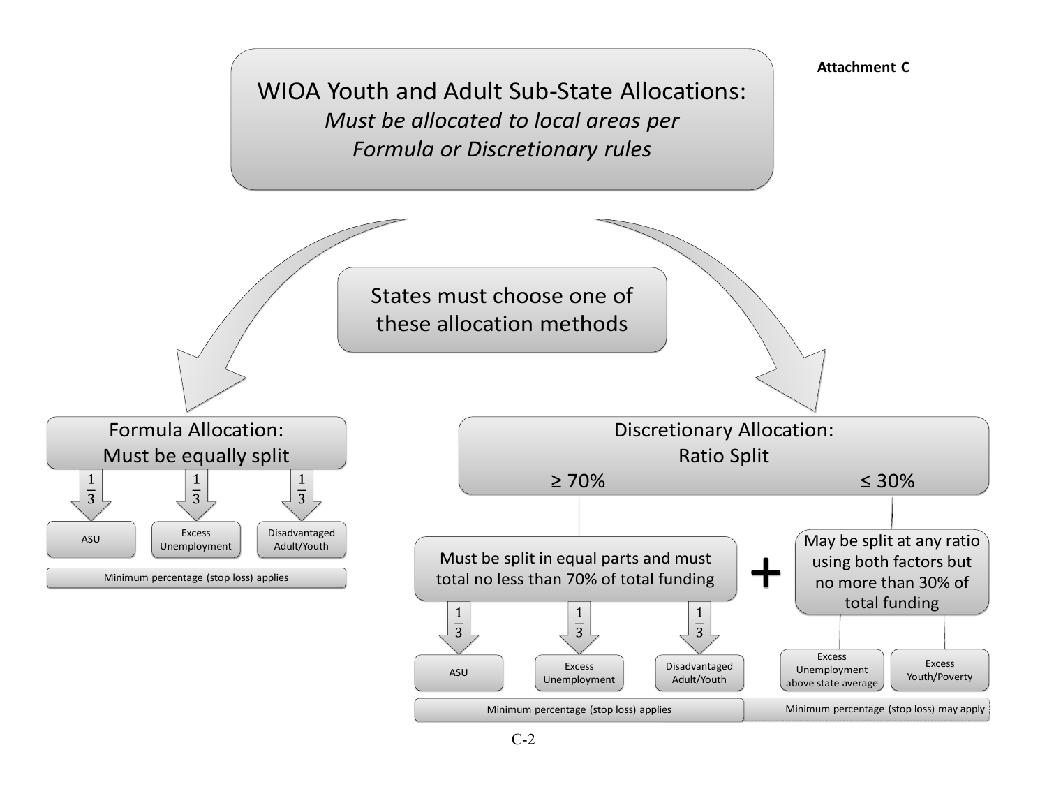